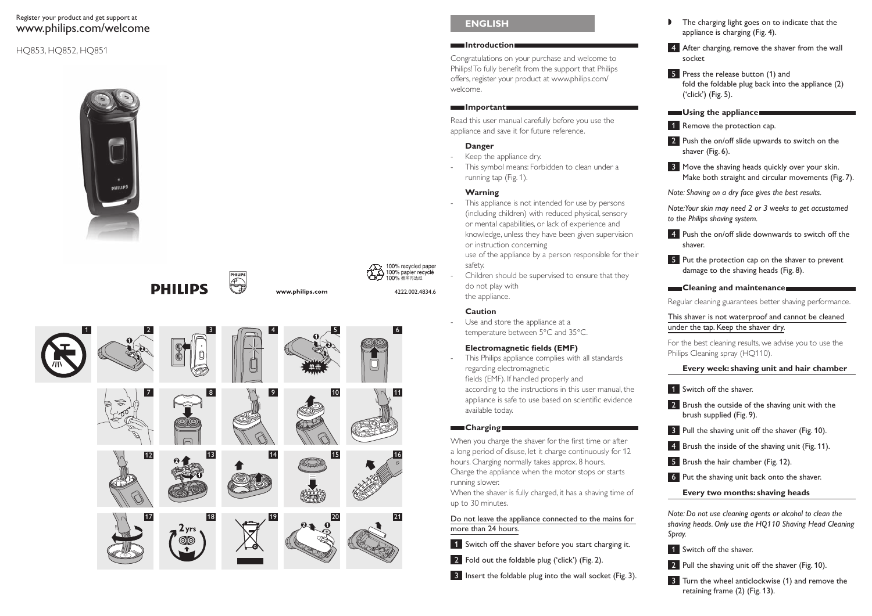#### Register your product and get support at www.philips.com/welcome

#### HQ853, HQ852, HQ851







#### **ENGLISH**

#### **Introduction**

Congratulations on your purchase and welcome to Philips! To fully benefit from the support that Philips offers, register your product at www.philips.com/ welcome.

#### **Important**

Read this user manual carefully before you use the appliance and save it for future reference.

#### **Danger**

- Keep the appliance dry.
- This symbol means: Forbidden to clean under a running tap (Fig. 1).

#### **Warning**

- This appliance is not intended for use by persons (including children) with reduced physical, sensory or mental capabilities, or lack of experience and knowledge, unless they have been given supervision or instruction concerning use of the appliance by a person responsible for their
- safety. Children should be supervised to ensure that they
- do not play with the appliance.

#### **Caution**

4222.002.4834.6

100% recycled paper 100% papier recyclé

100% 海环市浩然

 Use and store the appliance at a temperature between 5°C and 35°C.

#### **Electromagnetic fields (EMF)**

 This Philips appliance complies with all standards regarding electromagnetic fields (EMF). If handled properly and according to the instructions in this user manual, the appliance is safe to use based on scientific evidence available today.

#### **Charging**

When you charge the shaver for the first time or after a long period of disuse, let it charge continuously for 12 hours. Charging normally takes approx. 8 hours. Charge the appliance when the motor stops or starts running slower.

When the shaver is fully charged, it has a shaving time of up to 30 minutes.

Do not leave the appliance connected to the mains for more than 24 hours.

- 1 Switch off the shaver before you start charging it.
- 2 Fold out the foldable plug ('click') (Fig. 2).
- 3 Insert the foldable plug into the wall socket (Fig. 3).
- $\mathbf{r}$  The charging light goes on to indicate that the appliance is charging (Fig. 4).
- 4 After charging, remove the shaver from the wall socket
- **5** Press the release button (1) and fold the foldable plug back into the appliance (2) ('click') (Fig. 5).
- **Using the appliance**
- 1 Remove the protection cap.
- 2 Push the on/off slide upwards to switch on the shaver (Fig. 6).
- **3** Move the shaving heads quickly over your skin. Make both straight and circular movements (Fig. 7).

*Note: Shaving on a dry face gives the best results.*

*Note: Your skin may need 2 or 3 weeks to get accustomed to the Philips shaving system.*

4 Push the on/off slide downwards to switch off the shaver.

5 Put the protection cap on the shaver to prevent damage to the shaving heads (Fig. 8).

#### **Cleaning and maintenance**

Regular cleaning guarantees better shaving performance.

This shaver is not waterproof and cannot be cleaned under the tap. Keep the shaver dry.

For the best cleaning results, we advise you to use the Philips Cleaning spray (HQ110).

### **Every week: shaving unit and hair chamber**

- **1** Switch off the shaver.
- 2 Brush the outside of the shaving unit with the brush supplied (Fig. 9).
- **3** Pull the shaving unit off the shaver (Fig. 10).
- **4** Brush the inside of the shaving unit (Fig. 11).
- 5 Brush the hair chamber (Fig. 12).
- 6 Put the shaving unit back onto the shaver.
	- **Every two months: shaving heads**

*Note: Do not use cleaning agents or alcohol to clean the shaving heads. Only use the HQ110 Shaving Head Cleaning Spray.* 

**1** Switch off the shaver.

2 Pull the shaving unit off the shaver (Fig. 10).

**3** Turn the wheel anticlockwise (1) and remove the retaining frame (2) (Fig. 13).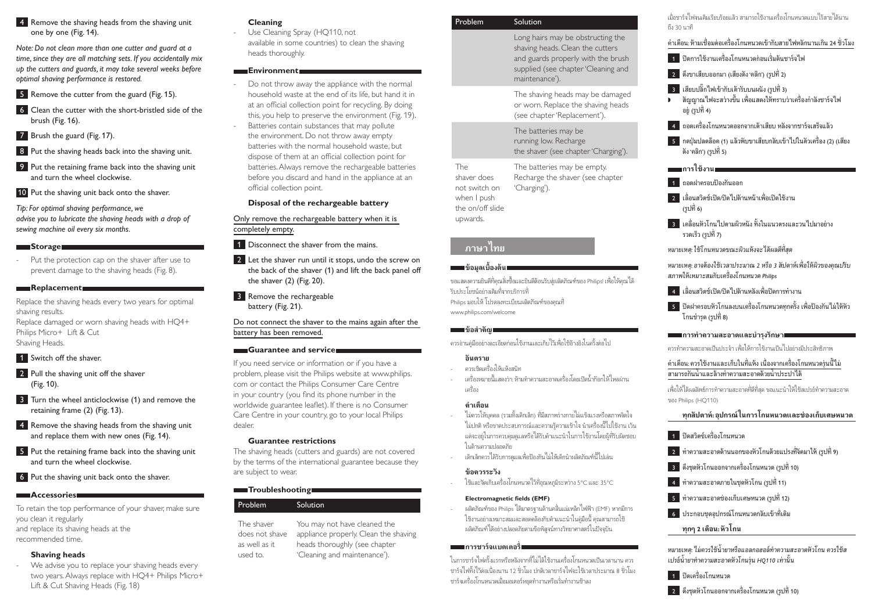#### 4 Remove the shaving heads from the shaving unit one by one (Fig. 14).

*Note: Do not clean more than one cutter and guard at a time, since they are all matching sets. If you accidentally mix up the cutters and guards, it may take several weeks before optimal shaving performance is restored.*

5 Remove the cutter from the guard (Fig. 15).

- 6 Clean the cutter with the short-bristled side of the brush (Fig. 16).
- 7 Brush the guard (Fig. 17).
- 8 Put the shaving heads back into the shaving unit.
- 9 Put the retaining frame back into the shaving unit and turn the wheel clockwise.

10 Put the shaving unit back onto the shaver.

*Tip: For optimal shaving performance, we advise you to lubricate the shaving heads with a drop of sewing machine oil every six months.*

#### **Storage**

 Put the protection cap on the shaver after use to prevent damage to the shaving heads (Fig. 8).

#### **Replacement**

Replace the shaving heads every two years for optimal shaving results. Replace damaged or worn shaving heads with HQ4+

Philips Micro+ Lift & Cut Shaving Heads.

**1** Switch off the shaver.

- 2 Pull the shaving unit off the shaver (Fig. 10) .
- **3** Turn the wheel anticlockwise (1) and remove the retaining frame (2) (Fig. 13).
- 4 Remove the shaving heads from the shaving unit and replace them with new ones (Fig. 14).
- 5 Put the retaining frame back into the shaving unit and turn the wheel clockwise.

6 Put the shaving unit back onto the shaver.

#### **Accessories**

To retain the top performance of your shaver, make sure you clean it regularly and replace its shaving heads at the

recommended time.

#### **Shaving heads**

 We advise you to replace your shaving heads every two years. Always replace with HQ4+ Philips Micro+ Lift & Cut Shaving Heads(Fig. 18)

#### **Cleaning**

-

-

 Use Cleaning Spray (HQ110, not available in some countries) to clean the shaving heads thoroughly.

#### **Environment**

- Do not throw away the appliance with the normal household waste at the end of its life, but hand it in at an official collection point for recycling. By doing this, you help to preserve the environment (Fig. 19).
- Batteries contain substances that may pollute the environment. Do not throw away empty batteries with the normal household waste, but dispose of them at an official collection point for batteries. Always remove the rechargeable batteries before you discard and hand in the appliance at an official collection point.

#### **Disposal of the rechargeable battery**

Only remove the rechargeable battery when it is completely empty.

- **1** Disconnect the shaver from the mains.
- 2 Let the shaver run until it stops, undo the screw on the back of the shaver (1) and lift the back panel off the shaver  $(2)$  (Fig. 20).
- **3** Remove the rechargeable battery (Fig. 21).

Do not connect the shaver to the mains again after the battery has been removed.

#### **Guarantee and service**

If you need service or information or if you have a problem, please visit the Philips website at www.philips. com or contact the Philips Consumer Care Centre in your country (you find its phone number in the worldwide guarantee leaflet). If there is no Consumer Care Centre in your country, go to your local Philips dealer.

#### **Guarantee restrictions**

The shaving heads (cutters and guards) are not covered by the terms of the international guarantee because they are subject to wear.

#### **Troubleshooting**

#### Problem Solution

| The shaver     | You may not have cleaned the          |
|----------------|---------------------------------------|
| does not shave | appliance properly. Clean the shaving |
| as well as it  | heads thoroughly (see chapter         |
| used to.       | 'Cleaning and maintenance').          |

| Problem                                                                                                         | Solution                                                                                                                                                             |
|-----------------------------------------------------------------------------------------------------------------|----------------------------------------------------------------------------------------------------------------------------------------------------------------------|
|                                                                                                                 | Long hairs may be obstructing the<br>shaving heads. Clean the cutters<br>and guards properly with the brush<br>supplied (see chapter 'Cleaning and<br>maintenance'). |
|                                                                                                                 | The shaving heads may be damaged<br>or worn. Replace the shaving heads<br>(see chapter 'Replacement').                                                               |
|                                                                                                                 | The batteries may be<br>running low. Recharge<br>the shaver (see chapter 'Charging').                                                                                |
| The<br>shaver does<br>not switch on<br>when I push<br>the on/off slide<br>upwards.                              | The batteries may be empty.<br>Recharge the shaver (see chapter<br>'Charging').                                                                                      |
| ภาษาไทย                                                                                                         |                                                                                                                                                                      |
| ███∎ข้อมูลเบื้องต้น                                                                                             |                                                                                                                                                                      |
| รับประโยชน์อย่างเต็มที่จากบริการที่<br>Philips มอบให้ โปรดลงทะเบียนผลิตภัณฑ์ของคณที่<br>www.philips.com/welcome | ขอแสดงความยินดีที่คุณสั่งซื้อและยินดีต้อนรับสู่ผลิตภัณฑ์ของ Philips! เพื่อให้คุณได้                                                                                  |
| ∎ข้อสำคัญ                                                                                                       | - 10. L.Q 0 % 10<br>0.1                                                                                                                                              |

ควรอานคูมืออยางละเอียดกอนใชงานและเก็บไวเพื่อใชอางอิงในครั้งตอไป

#### **อันตราย**ควรเช็ดเครื่องใหแหงสนิท

 เครื่องหมายนี้แสดงวา: หามทําความสะอาดเครื่องโดยเปดนํ้ากอกใหไหลผานเครื่อง

#### **คําเตือน**

- ไมควรใหบุคคล (รวมทั้งเด็กเล็ก) ที่มีสภาพรางกายไมแข็งแรงหรือสภาพจิตใจ ไม่ปกติ หรือขาดประสบการณ์และความรัความเข้าใจ นำเครื่องนี้ไปใช้งาน เว้น แต่จะอย่ในการควบคุมดูแลหรือได้รับคำแนะนำในการใช้งานโดยผู้ที่รับผิดชอบ ในด้านความปลอดภัย
- เด็กเล็กควรได้รับการดูแลเพื่อป้องกันไม่ให้เด็กนำผลิตภัณฑ์นี้ไปเล่น

#### **ขอควรระวัง**

ใชและจัดเก็บเครื่องโกนหนวดไวที่อุณหภูมิระหวาง 5°C และ 35°C

#### **Electromagnetic fields (EMF)**

 ผลิตภัณฑของ Philips ไดมาตรฐานดานคลื่นแมเหล็กไฟฟา (EMF) หากมีการ ใช้งานอย่างเหมาะสมและสอดคล้องกับคำแนะนำในค่มือนี้ คุณสามารถใช้ ผลิตภัณฑไดอยางปลอดภัยตามขอพิสูจนทางวิทยาศาสตรในปจจุบัน

#### **การชารจแบตเตอรี่**

ในการชารจไฟครั้งแรกหรือหลังจากที่ไมไดใชงานเครื่องโกนหนวดเปนเวลานาน ควร ชารจไฟทิ้งไวตอเนื่องนาน 12 ชั่วโมง ปกติเวลาชารจไฟจะใชเวลาประมาณ 8 ชั่วโมง ชารจเครื่องโกนหนวดเมื่อมอเตอรหยุดทํางานหรือเริ่มทํางานชาลง

#### เมื่อชาร์จไฟจนเต็มเรียบร้อยแล้ว สามารถใช้งานเครื่องโกนหนวดแบบไร้สายได้นาน ถึง 30 นาที

คําเตือน: หามเชื่อมตอเครื่องโกนหนวดเขากับสายไฟหลักนานเกิน 24 ชั่วโมง

- 1 ปดการใชงานเครื่องโกนหนวดกอนเริ่มตนชารจไฟ
- 2 ดึงขาเสียบออกมา (เสียงดัง 'คลิก')(รูปที่ 2)
- 3 เสียบปลั๊กไฟเขากับเตารับบนผนัง(รูปที่ 3) , สัญญาณไฟจะสวางขึ้น เพื่อแสดงใหทราบวาเครื่องกําลังชารจไฟ อยู(รูปที่ 4)

 $\boxed{4}$  ถอดเครื่องโกนหนวดออกจากเต้าเสียบ หลังจากชาร์จเสร็จแล้ว

 $\overline{\phantom{a}}$ 5  $\overline{\phantom{a}}$ กดปุ่มปลดล็อค (1) แล้วพับขาเสียบกลับเข้าไปในตัวเครื่อง (2) (เสียง ดัง 'คลิก')(รูปที่ 5)

### **n** การใช้งานเ

- 1 ถอดฝาครอบปองกันออก
- 2 เลื่อนสวิตชเปด/ปดไปดานหนาเพื่อเปดใชงาน(รูปที่ 6)
- 3 เคลื่อนหัวโกนไปตามผิวหนัง ทั้งในแนวตรงและวนไปมาอยาง รวดเร็ว(รูปที่ 7)

*หมายเหตุ: ใชโกนหนวดขณะผิวแหงจะไดผลดีที่สุด*

*หมายเหตุ: อาจตองใชเวลาประมาณ 2 หรือ 3 สัปดาหเพื่อใหผิวของคุณปรับ สภาพใหเหมาะสมกับเครื่องโกนหนวด Philips*

- 4 เลื่อนสวิตชเปด/ปดไปดานหลังเพื่อปดการทํางาน
- 5 ปดฝาครอบหัวโกนลงบนเครื่องโกนหนวดทุกครั้ง เพื่อปองกันไมใหหัว โกนขำรด (รูปที่ 8)

#### **การทําความสะอาดและบํารุงรักษา**

ควรทำความสะอาดเป็นประจำ เพื่อให้การใช้เานแป็นไปอย่างมีประสิทธิภาพ

#### ดำเตือน: ดวรใช้งานและเก็บในที่แห้ง เนื่องจากเครื่องโกนหนวดร่นนี้ไม่ สามารถกันน้ำและล้างทำความสะอาดด้วยน้ำประปาได้

เพื่อให้ได้ผลลัพธ์การทำความสะอาดที่ดีที่สุด ขอแนะนำให้ใช้สเปรย์ทำความสะอาด ของ Philips (HQ110)

### **ทุกสัปดาห: อุปกรณในการโกนหนวดและชองเก็บเศษหนวด**

- 1 ปดสวิตซเครื่องโกนหนวด
- $\overline{\mathbf{P}}$ 2 ทำความสะอาดด้านนอกของหัวโกนด้วยแปรงที่จัดมาให้ (รูปที่ 9)
- $\overline{\phantom{a}3\phantom{a}}$  ดึงชุดหัวโกนออกจากเครื่องโกนหนวด (รูปที่ 10)
- $\overline{\phantom{a} \phantom{a} \phantom{a}}$ คำความสะอาดภายในชุดหัวโกน (รูปที่ 11)
- $\overline{\phantom{a}5\phantom{a}}$  ทำความสะอาดช่องเก็บเศษหนวด (รปที่ 12)
- $\overline{\phantom{a}6\phantom{a}}$  ประกอบชุดอุปกรณ์โกนหนวดกลับเข้าที่เดิม
	- **ทุกๆ 2 เดือน: หัวโกน**

*หมายเหตุ: ไมควรใชนํ้ายาหรือแอลกอฮอลทําความสะอาดหัวโกน ควรใชส เปรยนํ้ายาทําความสะอาดหัวโกนรุน HQ110 เทานั้น* 

1 ปดเครื่องโกนหนวด

 $\Box$ 2 ดึงชุดหัวโกนออกจากเครื่องโกนหนวด (รูปที่ 10)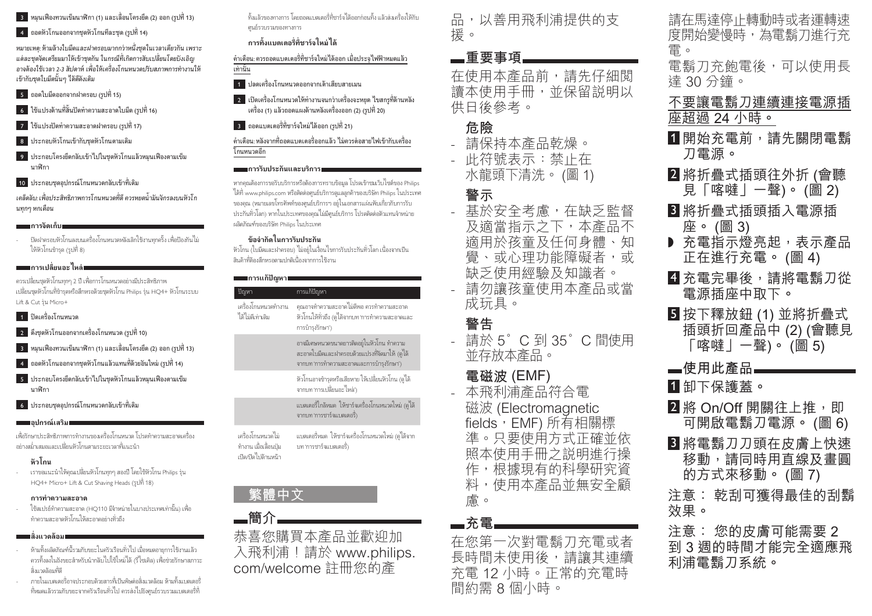- 3 หมุนเฟองทวนเข็มนาฬกา (1) และเลื่อนโครงยึด (2) ออก(รูปที่ 13)
- $\blacksquare$  ถอดหัวโกนออกจากขดหัวโกนทีละชุด (รูปที่ 14)

*หมายเหตุ: หามลางใบมีดและฝาครอบมากกวาหนึ่งชุดในเวลาเดียวกัน เพราะ แตละชุดจัดเตรียมมาใหเขาชุดกัน ในกรณีที่เกิดการสับเปลี่ยนโดยบังเอิญ อาจตองใชเวลา 2-3 สัปดาห เพื่อใหเครื่องโกนหนวดปรับสภาพการทํางานให เขากับชุดใบมีดนั้นๆ ไดดีดังเดิม*

- 5 ถอดใบมีดออกจากฝาครอบ(รูปที่ 15)
- $\overline{\phantom{a}}$ 6 ใช้แปรงด้านที่สั้นปัดทำความสะอาดใบมีด (รูปที่ 16)
- 7 ใชแปรงปดทําความสะอาดฝาครอบ(รูปที่ 17)
- 8 ประกอบหัวโกนเขากับชุดหัวโกนตามเดิม
- 9 ประกอบโครงยึดกลับเขาไปในชุดหัวโกนแลวหมุนเฟองตามเข็ม นาฬกา
- 10 ประกอบชุดอปกรณ์โกนหนวดกลับเข้าที่เดิม

*เคล็ดลับ: เพื่อประสิทธิภาพการโกนหนวดที่ดี ควรหยดนํ้ามันจักรลงบนหัวโกนทุกๆ หกเดือน*

#### **การจัดเก็บ**

 ปดฝาครอบหัวโกนลงบนเครื่องโกนหนวดหลังเลิกใชงานทุกครั้ง เพื่อปองกันไม ให้หัวโกนชำรด (รูปที่ 8)

### **การเปลี่ยนอะไหล**

ควรเปลี่ยนชุดหัวโกนทุกๆ 2 ป เพื่อการโกนหนวดอยางมีประสิทธิภาพ เปลี่ยนชุดหัวโกนที่ชํารุดหรือสึกหรอดวยชุดหัวโกน Philips รุน HQ4+ หัวโกนระบบ Lift & Cut รุน Micro+

#### 1 ปดเครื่องโกนหนวด

- 2 ดึงชุดหัวโกนออกจากเครื่องโกนหนวด(รูปที่ 10)
- 3 หมุนเฟองทวนเข็มนาฬกา (1) และเลื่อนโครงยึด (2) ออก(รูปที่ 13)
- $\blacksquare$  ถอดหัวโกนออกจากชุดหัวโกนแล้วแทนที่ด้วยอันใหม่ (รูปที่ 14)
- 5 ประกอบโครงยึดกลับเขาไปในชุดหัวโกนแลวหมุนเฟองตามเข็ม นาฬกา
- $\begin{bmatrix} 6 & 1 \end{bmatrix}$ ระกอบชุดอุปกรณ์โกนหนวดกลับเข้าที่เดิม

#### **อุปกรณเสริม**

เพื่อรักษาประสิทธิภาพการทํางานของเครื่องโกนหนวด โปรดทําความสะอาดเครื่อง อยางสมํ่าเสมอและเปลี่ยนหัวโกนตามระยะเวลาที่แนะนํา

### **หัวโกน**

 เราขอแนะนําใหคุณเปลี่ยนหัวโกนทุกๆ สองป โดยใชหัวโกน Philips รุน HQ4+ Micro+ Lift & Cut Shaving Heads(รูปที่ 18)

#### **การทําความสะอาด**

 ใชสเปรยทําความสะอาด (HQ110 มีจําหนายในบางประเทศเทานั้น) เพื่อ ทําความสะอาดหัวโกนใหสะอาดอยางทั่วถึง

#### **| สิ่งแวดล้อม**|

- ห้ามทิ้งผลิตภัณฑ์นี้รวมกับขยะในครัวเรือนทั่วไป เมื่อหมดอายการใช้งานแล้ว ควรทิ้งลงในถังขยะสําหรับนํากลับไปใชใหมได (รีไซเคิล) เพื่อชวยรักษาสภาวะ สิ่งแวดลอมที่ดี
- ภายในแบตเตอรี่อาจประกอบดวยสารที่เปนพิษตอสิ่งแวดลอม หามทิ้งแบตเตอรี่ ที่หมดแลวรวมกับขยะจากครัวเรือนทั่วไป ควรสงไปยังศูนยรวบรวมแบตเตอรี่ที่

ทิ้งแลวของทางการ โดยถอดแบตเตอรี่ที่ชารจไดออกกอนทิ้ง แลวสงเครื่องใหกับศูนยรวบรวมของทางการ

### **การทิ้งแบตเตอรี่ที่ชารจใหมได**

คําเตือน: ควรถอดแบตเตอรี่ที่ชารจใหมไดออก เมื่อประจุไฟฟาหมดแลว เทานั้น

- 1 ปลดเครื่องโกนหนวดออกจากเตาเสียบสายเมน
- 2 เปดเครื่องโกนหนวดใหทํางานจนกวาเครื่องจะหยุด ไขสกรูที่ดานหลัง เครื่อง (1) แลวถอดแผงดานหลังเครื่องออก (2)(รูปที่ 20)
- 3 ถอดแบตเตอรี่ที่ชารจใหมไดออก(รูปที่ 21)

คำเตือน: หลังจากที่ถอดแบตเตอรื่ออกแล้ว ไม่ควรต่อสายไฟเข้ากับเครื่อง โกนหนวดอีก

#### **การรับประกันและบริการ**

หากคุณต้องการขอรับบริการหรือต้องการทราบข้อมูล โปรดเข้าชมเว็บไซต์ของ Philips ไดที่ www.philips.com หรือติดตอศูนยบริการดูแลลูกคาของบริษัท Philips ในประเทศ ของคุณ (หมายเลขโทรศัพทของศูนยบริการฯ อยูในเอกสารแผนพับเกี่ยวกับการรับ ้ ประกันทั่วโลก) หากในประเทศของคุณไม่มีศูนย์บริการ โปรดติดต่อตัวแทนจำหน่าย ผลิตภัณฑ์ของบริษัท Philips ในประเทศ

#### **ขอจํากัดในการรับประกัน**

หัวโกน (ใบมีดและฝาครอบ) ไมอยูในเงื่อนไขการรับประกันทั่วโลก เนื่องจากเปน ี่ สินค้าที่ต้องสึกหรอตามปกติเบื้องจากการใช้งาน

#### **กา**รแก้ปัญหา

| ปัญหา                                   | การแก้ปัญหา                                                                                                                             |
|-----------------------------------------|-----------------------------------------------------------------------------------------------------------------------------------------|
| เครื่องโกนหนวดทำงาน<br>ได้ไม่ดีเท่าเดิม | ้คุณอาจทำความสะอาดไม่ดีพอ ควรทำความสะอาด<br>หัวโกนให้ทั่วถึง (ดูได้จากบท 'การทำความสะอาดและ<br>การบำรุงรักษา')                          |
|                                         | อาจมีเศษหนวดขนาดยาวติดอยู่ในหัวโกน ทำความ<br>ี สะอาดใบมีดและฝาครอบด้วยแปรงที่จัดมาให้ (ดูได้<br>จากบท 'การทำความสะอาดและการบำรุงรักษา') |
|                                         | หัวโกนอาจชำรุดหรือเสียหาย ให้เปลี่ยนหัวโกน (ดูได้<br>จากบท 'การเปลี่ยนอะ ไหล่')                                                         |
|                                         | ี่ แบตเตอรี่ใกล้หมด ให้ชาร์จเครื่องโกนหนวดใหม่ (ดูได้<br>จากบท 'การชาร์จแบตเตอรี่)                                                      |
| เครื่องโกนหนวดไม่                       | แบตเตอรี่หมด ให้ชาร์จเครื่องโกนหนวดใหม่ (ดูได้จาก                                                                                       |

ทํางาน เมื่อเลื่อนปุม เปด/ปดไปดานหนา บท 'การชารจแบตเตอรี่)

## **露體中文**

■簡介. 恭喜您購買本產品並歡抑加 入飛利浦!請於 www.philips. com/welcome 註冊您的產

品,以善用飛利浦提供的支 援。

## **▄**重要事項∟

在使用本產品前,請先仔細閲 讀本使用手冊,並保留説明以 供日後參考。

### **Ғ⽩**

- 請保持本產品乾燥。 - 此符號表示:禁止在 水龍頭下清洗。(圖1)

## 警示

- 基於安全考慮,在缺乏監督 及滴當指示之下,本產品不 滴用於孩童及仟何身體、知 覺、或心理功能障礙者,或 缺乏使用經驗及知識者 請勿讓孩童使用本產品或當
- 成玩具。

## 警告

請於 5° C 到 35° C 間使用 並存放本產品。

## 電磁波 (EMF)

- 本飛利浦產品符合電 磁波 (Electromagnetic fields, EMF) 所有相關標 進。只要使用方式正確並依 照本使用手冊之説明進行操 作,根據現有的科學研究資 料,使用本產品並無安全顧 膚。

### **ᆸ** 充雷

在您第一次對電鬚刀充電或者 長時間未使用後,請讓其連續 充電 12 小時。正常的充電時 間約需8個小時。

## 請在馬達停止轉動時或者運轉涑 度開始變慢時,為電鬍刀進行充 雷。

電鬍刀充飽電後,可以使用長 達 30 分鐘。

## 不要讓電鬍刀連續連接電源插 **座詔渦 24 小時。**

- 1 開始充電前,請先關閉電鬍 刀電源。
- 2 將折疊式插頭往外折 (會聽 見「喀噠」一聲)。(圖2)
- 3 將折疊式插頭插入電源插 座。(圖 3)
- ▶ 充雷指示燈亮起, 表示產品 正在進行充電。(圖4)
- 41 充電完畢後,請將電鬍刀從 電源插座中取下。
- $\blacksquare$ 按下釋放鈕 $(1)$  並將折疊式 插頭折回產品中 $(2)$  $($ 會聽見  $\overline{\phantom{a}}$ 喀噠|一聲)。(圖 5)
- —使用此產品**—————**
- 1 卸下保護蓋。
- 2 將 On/Off 開關往上推, 即 可開啟電鬍刀電源。(圖6)
- 3 將電鬍刀刀頭在皮膚上快速 移動,請同時用直線及畫圓 的方式來移動。(圖 7)
- 注意: 乾刮可獲得最佳的刮鬍 效果。
- 注意: 您的皮膚可能需要 2 到 3 週的時間才能完全適應飛 利浦雷鬍刀系統。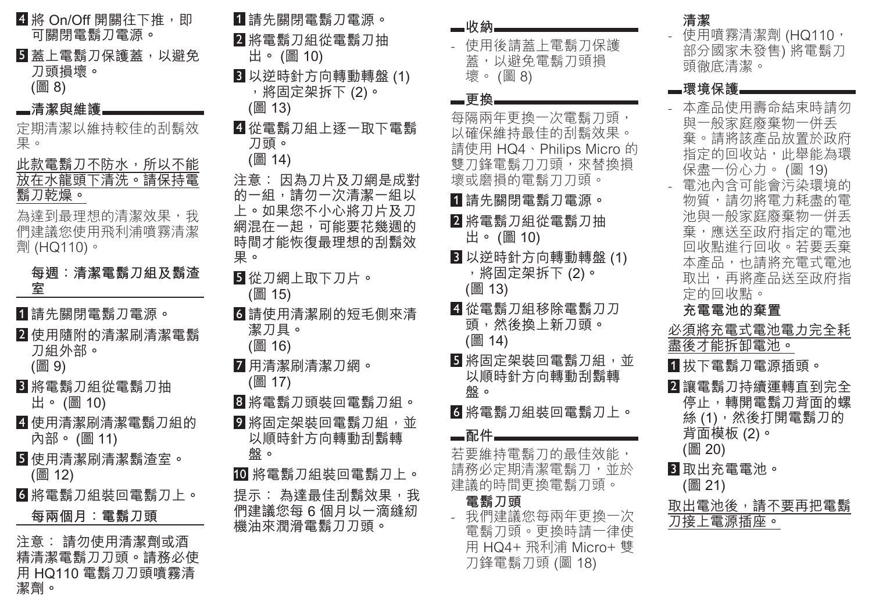1 請先閣 2 將電 3 以逆 4 從電 刀頭 注意: 的一組 上。如身 網混在-時間才 果。 5 從刀糹 (圖 15 6 請使月 潔刀 7 用清清 8 將電 9 將固定 般。 10 將電 提示: 們建議 機油來 4 將 On/Off 開關往下推, 即 可關閉電鬍刀電源。 5 蓋上電鬍刀保護蓋,以避免 刀頭損壞。 (圖 8) **■清潔與維護** 定期清潔以維持較佳的刮鬍效 果。 此款電鬍刀不防水,所以不能 放在水龍頭下清洗。請保持電 鬍刀乾燥。 為達到最理想的清潔效果,我 們建議您使用飛利浦噴霧清潔 劑 (HQ110)。 每週: 清潔電鬍刀組及鬍渣 **ড**1 請先關閉電鬍刀電源。 2 使用隨附的清潔刷清潔電鬍 刀組外部。 (圖 9) 3 將電鬍刀組從電鬍刀抽 出。(圖 10) 4 使用清潔刷清潔電鬍刀組的 內部。(圖 11) 5 使用清潔刷清潔鬍渣室。 (圖 12) 6 將電鬍刀組裝回電鬍刀上。 每兩個月: 電鬍刀頭 注意: 請勿使用清潔劑或酒 精清潔電鬍刀刀頭。請務必使 用 HQ110 電鬍刀刀頭噴霧清 潔劑。

| 請先關閉電鬍刀電源。<br>━收納━━<br>將電鬍刀組從電鬍刀抽<br>- 使用後<br>出。(圖 10)<br>蓋,以<br>壞。 (圖<br>以逆時針方向轉動轉盤 (1)<br>,將固定架拆下 (2)。<br>—更換—<br>(圖 13)<br>每隔兩年<br>從電鬍刀組上逐一取下電鬍<br>以確保維扌<br>請使用 HC<br>雙刀鋒電<br>壞或磨損自<br>1 請先關<br>2 將電鬍〕<br>出。 (圖<br>3 以逆時<br>$\circ$<br>,將固;<br>(圖 13)<br>4 從電鬍〕<br>請使用清潔刷的短毛側來清<br>頭,然彳<br>(圖 14)<br>5 將固定<br>以順時釒<br>盤。<br>將電鬍刀頭裝回電鬍刀組。<br>6 將電鬍〕<br>將固定架裝回電鬍刀組,並<br>—配件—<br>以順時針方向轉動刮鬍轉<br>若要維持<br>請務必定<br>將電鬍刀組裝回電鬍刀上。<br>建議的時<br>電鬍刀<br>我們建<br>電鬍刀<br>用 HQ4 |                                                                                                                                                                |  |
|--------------------------------------------------------------------------------------------------------------------------------------------------------------------------------------------------------------------------------------------------------------------------------------------------------------------------------------------------------------------------------------------------------------------------------------------------------------------|----------------------------------------------------------------------------------------------------------------------------------------------------------------|--|
|                                                                                                                                                                                                                                                                                                                                                                                                                                                                    | 刀頭。<br>(圖 14)<br>意: 因為刀片及刀網是成對<br>一組,請勿一次清潔一組以<br>。如果您不小心將刀片及刀<br>混在一起,可能要花幾週的<br>間才能恢復最理想的刮鬍效<br>從刀網上取下刀片。<br>(圖 15)<br>潔刀具。<br>(圖 16)<br>用清潔刷清潔刀網。<br>(圖 17) |  |
|                                                                                                                                                                                                                                                                                                                                                                                                                                                                    | 盤。<br>示: 為達最佳刮鬍效果,我<br>建議您每 6 個月以一滴縫紉<br>油來潤滑電鬍刀刀頭。                                                                                                            |  |

| —收納.<br>- 使用後請蓋上電鬍刀保護<br>蓋,以避免電鬍刀頭損<br>壞。(圖8)                                                                                                             | 清潔<br>使用噴霧清潔劑 (HQ110,<br>部分國家未發售) 將電鬍刀<br>頭徹底清潔。                                                                                                              |
|-----------------------------------------------------------------------------------------------------------------------------------------------------------|---------------------------------------------------------------------------------------------------------------------------------------------------------------|
| ▄更換                                                                                                                                                       | ▄環境保護                                                                                                                                                         |
| 每隔兩年更換一次電鬍刀頭,<br>以確保維持最佳的刮鬍效果。<br>請使用 HQ4、Philips Micro 的<br>雙刀鋒電鬍刀刀頭,來替換損<br>壞或磨損的電鬍刀刀頭。<br><u>1</u> 請先關閉電鬍刀電源。<br><mark>2</mark> 將電鬍刀組從電鬍刀抽<br>出。(圖 10) | 本產品使用壽命結束時請勿<br>與一般家庭廢棄物一併丢<br>棄。請將該產品放置於政府<br>指定的回收站,此舉能為環<br>保盡一份心力。 (圖 19)<br>電池內含可能會污染環境的<br>物質,請勿將電力耗盡的電<br>池與一般家庭廢棄物一併丢<br>棄,應送至政府指定的電池<br>回收點進行回收。若要丢棄 |
| 3 以逆時針方向轉動轉盤 (1)<br>,將固定架拆下 (2)。<br>(圖 13)                                                                                                                | 本產品,也請將充電式電池<br>取出,再將產品送至政府指<br>定的回收點。                                                                                                                        |
| <mark>4</mark> 從電鬍刀組移除電鬍刀刀<br>頭,然後換上新刀頭。<br>(圖 14)                                                                                                        | 充電電池的棄置<br>必須將充電式電池電力完全耗<br>盡後才能拆卸電池。                                                                                                                         |
| 5 將固定架裝回電鬍刀組,並<br>以順時針方向轉動刮鬍轉<br>盤。                                                                                                                       | 1 拔下電鬍刀電源插頭。<br>2 讓電鬍刀持續運轉直到完全                                                                                                                                |
| 6 將電鬍刀組裝回電鬍刀上。<br>▄配件                                                                                                                                     | 停止,轉開電鬍刀背面的螺<br>絲 (1) <sup>,</sup> 然後打開電鬍刀的<br>背面模板 (2)。                                                                                                      |
| 若要維持電鬍刀的最佳效能,<br>請務必定期清潔電鬍刀,並於<br>建議的時間更換電鬍刀頭。                                                                                                            | (圖 20)<br>3 取出充電電池。<br>(圖 21)                                                                                                                                 |
| 電鬍刀頭<br>我們建議您每兩年更換一次<br>電鬍刀頭。更換時請一律使<br>用 HQ4+ 飛利浦 Micro+ 雙                                                                                               | 取出電池後,請不要再把電鬍<br>刀接上電源插座。                                                                                                                                     |
| 刀鋒電鬍刀頭 (圖 18)                                                                                                                                             |                                                                                                                                                               |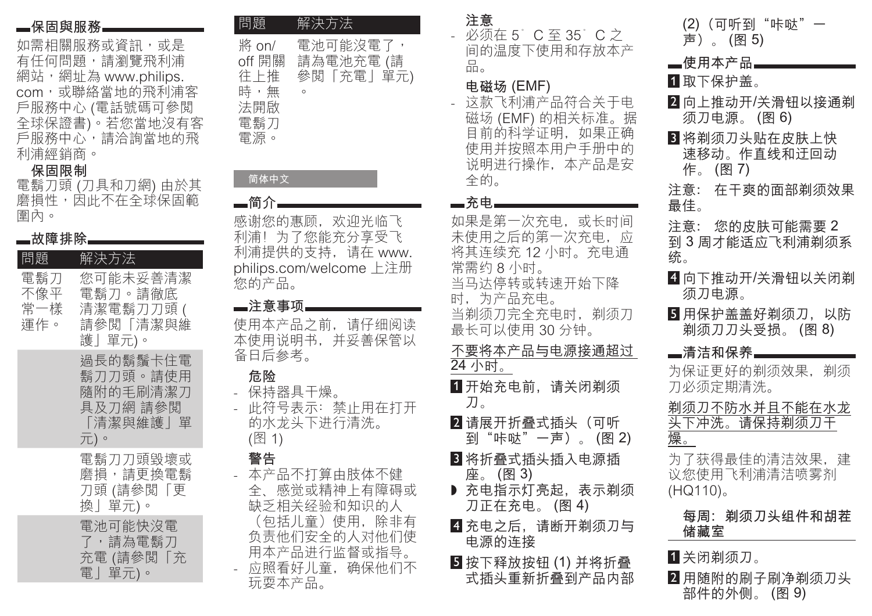## **■保固與服務**

如需相關服務或資訊,或是 有任何問題,請瀏覽飛利浦 網站,網址為 www.philips. com,或聯絡當地的飛利浦客 戶服務中心 (電話號碼可參閱 全球保證書)。若您當地沒有客 戶服務中心,請洽詢當地的飛 利浦經銷商。

### 保固限制

電鬍刀頭 (刀具和刀網) 由於其 磨損性,因此不在全球保固範 圍內。

| ■故障排除             |                                                                  |
|-------------------|------------------------------------------------------------------|
| 問題                | - 解決方 <u>法</u>                                                   |
| 電鬍刀<br>不像平<br>運作。 | 您可能未妥善清潔<br>電鬍刀。請徹底<br>常一樣 清潔電鬍刀刀頭 (<br> 請參閲「清潔與維<br>護」單元)。      |
|                   | 渦長的鬍鬚卡住電<br>鬍刀刀頭。請使用<br>隨附的毛刷清潔刀<br>具及刀網 請參閲<br>「清潔與維護  單<br>元)。 |
|                   | 電鬍刀刀頭毀壞或<br>磨損,請更換電鬍<br>刀頭 (請參閲「更<br>換」單元)。                      |
|                   | 電池可能快沒電<br>了,請為電鬍刀<br>充電 (請參閲「充<br>電」單元)。                        |

| 問題                                                 | 解決方法                                          |
|----------------------------------------------------|-----------------------------------------------|
| 將 on/<br>off 開關<br>往上推<br>時,無<br>法開啟<br>電鬍刀<br>電源。 | 電池可能沒電了,<br>請為電池充電 (請<br>參閲「充電」單元)<br>$\circ$ |

# 简体中文 —简介

感谢您的惠顾,欢迎光临飞 利浦!为了您能充分享受飞 利浦提供的支持, 请在 www. philips.com/welcome 上注册 您的产品。

### **—**注意事项

使用本产品之前, 请仔细阅读 本使用说明书, 并妥善保管以 备日后参考。

## 危险

- 保持器具干燥。 此符号表示: 禁止用在打开 的水龙头下讲行清洗。 (图 1)

## 警告

- 本产品不打算由肢体不健 全、感觉或精神上有障碍或 缺乏相关经验和知识的人 〔包括儿童)使用,除非有 负责他们安全的人对他们使 用本产品进行监督或指导。 -应照看好儿童, 确保他们不 玩耍本产品。

# 注意

- 必须在 5°C至 35°C之 间的温度下使用和存放本产  $\overline{h}$ 

# 电磁场 (EMF)

这款飞利浦产品符合关于电 磁场 (EMF) 的相关标准。据 目前的科学证明, 如果正确 使用并按照本用户手册中的 说明进行操作,本产品是安 全的。

## — 充申

如果是第一次充电, 或长时间 未使用之后的第一次充电。应 将其连续充 12 小时。充电通 常需约8小时。

当马达停转或转速开始下降 时,为产品充电。

当剃须刀完全充电时, 剃须刀 最长可以使用 30分钟。

- 不要将本产品与电源接通超过 24 小时。
- 1 开始充电前, 请关闭剃须 刀。
- 2 请展开折叠式插头 (可听 到"咔哒"一声)。(图2)
- 3 将折叠式插头插入电源插 座。(图 3)
- ▶ 充电指示灯亮起,表示剃须 刀正在充电。(图4)
- 4 充电之后, 请断开剃须刀与 电源的连接
- $5$ 按下释放按钮(1)并将折叠 式插头重新折叠到产品内部

| (2) (可听到"咔哒"<br>声)。(图5)                                 |
|---------------------------------------------------------|
| ▄使用本产品▄<br>1 取下保护盖。                                     |
| 2 向上推动开/关滑钮以接通剃<br>须刀电源。 (图 6)                          |
| 3 将剃须刀头贴在皮肤上快<br>速移动。作直线和迂回动<br>作。(图7)                  |
| 注意: 在干爽的面部剃须效果<br>最佳。                                   |
| 注意: 您的皮肤可能需要 2<br>到 3 周才能适应飞利浦剃须系<br>统。                 |
| 4 向下推动开/关滑钮以关闭剃<br>须刀电源。                                |
| 5 用保护盖盖好剃须刀,以防<br>剃须刀刀头受损。(图 8)                         |
| ▄清洁和保养▄▄                                                |
| 为保证更好的剃须效果,剃须<br>刀必须定期清洗。                               |
| <u>剃须刀不防水并且不能在水龙</u><br>头下冲洗。请保持剃须刀干<br>燥。              |
| 为了获得最佳的清洁效果,建<br>议您使用飞利浦清洁喷雾剂<br>$(HQ110)$ <sub>o</sub> |
| 每周:剃须刀头组件和胡茬<br>储藏室                                     |
| 1 关闭剃须刀。                                                |
| 2 用随附的刷子刷净剃须刀头                                          |

部件的外侧。 (图 9)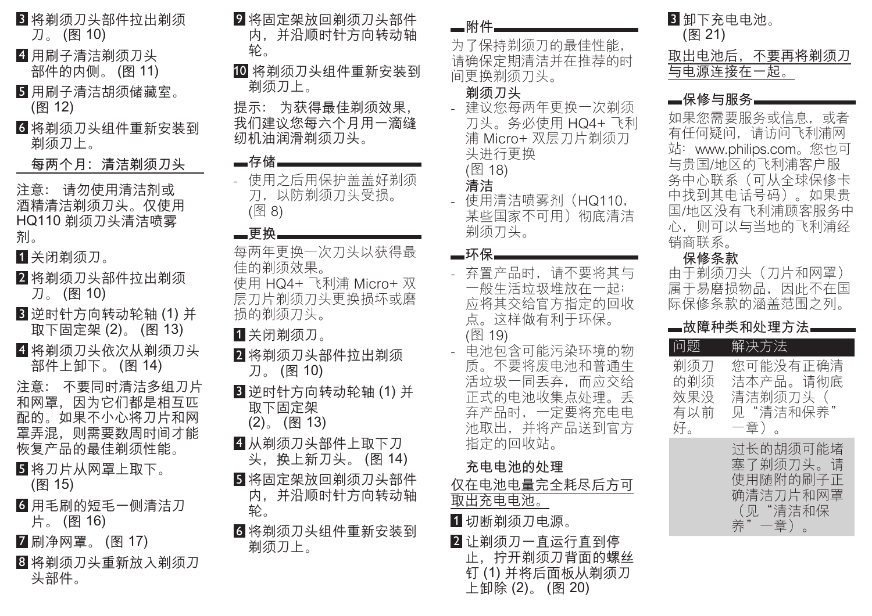- 3 将剃须刀头部件拉出剃须 刀。(图 10)
- 4 用刷子清洁剃须刀头 部件的内侧。(图 11)
- 5 用刷子清洁胡须储藏室。 (图 12)
- 6 将剃须刀头组件重新安装到 剃须刀上。

每两个月: 清洁剃须刀头

注意: 请勿使用清洁剂或 酒精清洁剃须刀头。仅使用 HQ110 剃须刀头清洁喷雾 剂。

1 关闭剃须刀。

- 2 将剃须刀头部件拉出剃须 刀。(图 10)
- $3$ 逆时针方向转动轮轴 $(1)$ 并 取下固定架 (2)。 (图 13)
- 4 将剃须刀头依次从剃须刀头 部件上卸下。(图 14)

注意: 不要同时清洁多组刀片 和网罩,因为它们都是相互匹 配的。如果不小心将刀片和网 罩弄混,则需要数周时间才能 恢复产品的最佳剃须性能。

- 5 将刀片从网罩上取下。 (图 15)
- 6 用毛刷的短毛一侧清洁刀 片。(图 16)
- 7 刷净网罩。(图 17)
- 8 将剃须刀头重新放入剃须刀 头部件。
- 9 将固定架放回剃须刀头部件 内,并沿顺时针方向转动轴 ઁ
- 10 将剃须刀头组件重新安装到 剃须刀上。

提示: 为获得最佳剃须效果, 我们建议您每六个月用一滴缝 纫机油润滑剃须刀头。

## **一**存储■

- 使用之后用保护盖盖好剃须 刀, 以防剃须刀头受损。 (图 8)

### 一更换

- 每两年更换一次刀头以获得最 佳的剃须效果。
- 使用 HQ4+ 飞利浦 Micro+ 双 层刀片剃须刀头更换损坏或磨 损的剃须刀头。
- 1 关闭剃须刀。
- 2 将剃须刀头部件拉出剃须 刀。(图 10)
- $3$  逆时针方向转动轮轴 $(1)$ 并 取下固定架  $(2)$  (图 13)
	-
- 4 从剃须刀头部件上取下刀 头, 换上新刀头。(图 14)
- 5 将固定架放回剃须刀头部件 内, 并沿顺时针方向转动轴 轮。
- 6 将剃须刀头组件重新安装到 剃须刀上。

### **■附件**

为了保持剃须刀的最佳性能, 请确保定期清洁并在推荐的时 间更换剃须刀头。

## 剃须刀头

- 建议您每两年更换一次剃须 刀头。务必使用 HQ4+ 飞利 浦 Micro+ 双层刀片剃须刀 头进行更换

(图 18)

## 清洁

- 使用清洁喷雾剂 (HQ110, 某些国家不可用)彻底清洁 剃须刀头。

### **—环保**

- 弃置产品时,请不要将其与 一般生活垃圾堆放在一起; 应将其交给官方指定的回收 点。这样做有利于环保。
- (图 19)
- 电池包含可能污染环境的物 质。不要将废电池和普通生 活垃圾一同丢弃,而应交给 正式的电池收集点处理。丢 弃产品时, 一定要将充电电 池取出,并将产品送到官方 指定的回收站。

## 充电电池的外理

- 仅在电池电量完全耗尽后方可 —————————<br>取出充电电池。
- 1 切断剃须刀电源。
- $2$  计剃须刀一直运行直到停 止、拧开剃须刀背面的螺丝 钉(1)并将后面板从剃须刀 上卸除(2)。(图 20)

| 3 卸下充电电池。<br>(图 21) |               |
|---------------------|---------------|
|                     | 取出电池后,不要再将剃须刀 |
| 与电源连接在一起。           |               |

## —保修与服务—

如果您需要服务或信息, 或者 有任何疑问, 请访问飞利浦网 站: www.philips.com。您也可 与贵国/地区的飞利浦客户服 务中心联系(可从全球保修卡 中找到其电话号码)。如果贵 国/地区没有飞利浦顾客服务中 心,则可以与当地的飞利浦经 销商联系。

### 保修条款

由于剃须刀头 (刀片和网罩) 属于易磨损物品, 因此不在国 际保修条款的涵盖范围之列。

### —故障种类和处理方法**—**

| 问题                             | 解决方法                                                              |
|--------------------------------|-------------------------------------------------------------------|
| 剃须刀<br>的剃须<br>效果没<br>有以前<br>好。 | 您可能没有正确清<br>洁本产品。请彻底<br>清洁剃须刀头(<br>见"清洁和保养"<br>一章)。               |
|                                | 讨长的胡须可能堵<br>塞了剃须刀头。请<br>使用随附的刷子正<br>确清洁刀片和网罩<br>(见"清洁和保<br>养"一章)。 |